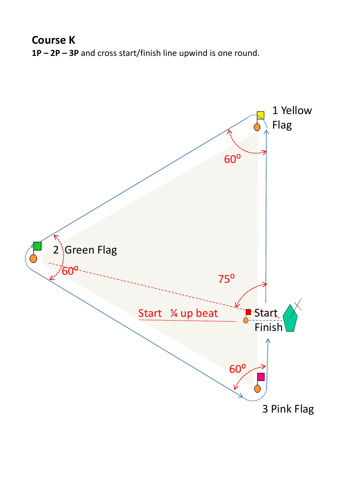**Course K 1P – 2P – 3P** and cross start/finish line upwind is one round.

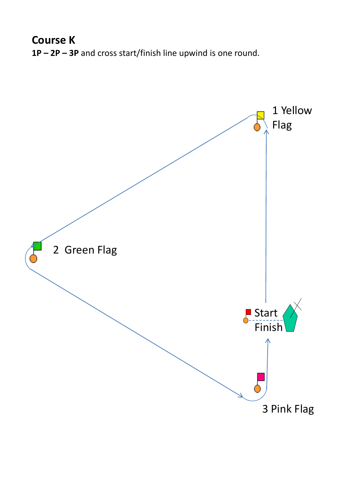**Course K 1P – 2P – 3P** and cross start/finish line upwind is one round.

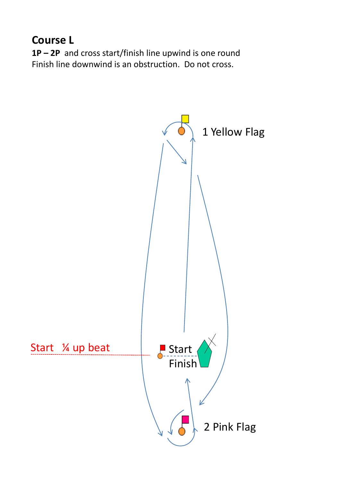## **Course L**

**1P – 2P** and cross start/finish line upwind is one round Finish line downwind is an obstruction. Do not cross.

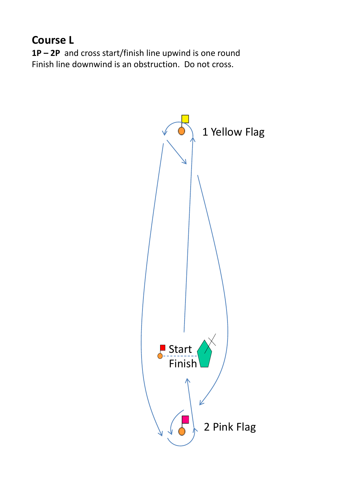## **Course L**

**1P – 2P** and cross start/finish line upwind is one round Finish line downwind is an obstruction. Do not cross.

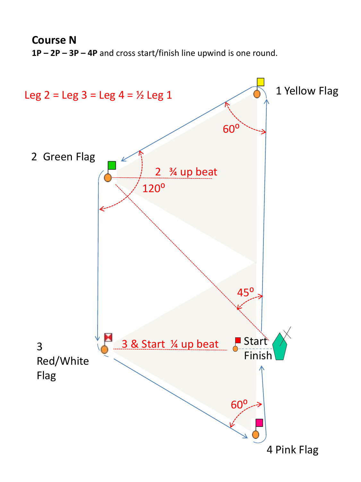**Course N 1P – 2P – 3P – 4P** and cross start/finish line upwind is one round.

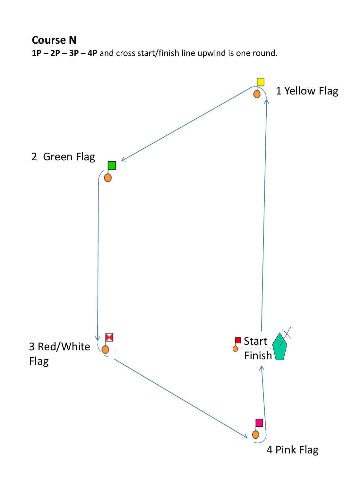**Course N 1P – 2P – 3P – 4P** and cross start/finish line upwind is one round.

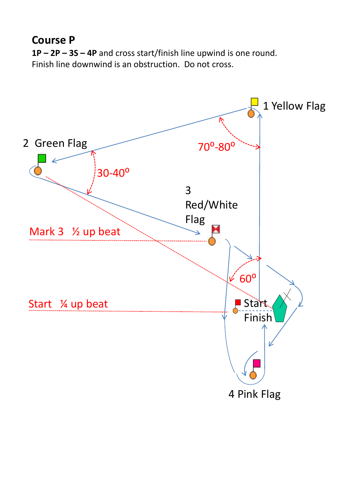## **Course P**

**1P – 2P – 3S – 4P** and cross start/finish line upwind is one round. Finish line downwind is an obstruction. Do not cross.

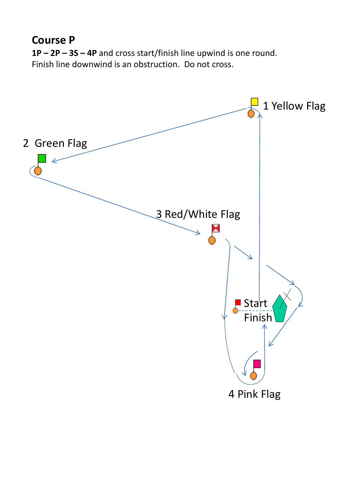## **Course P**

**1P – 2P – 3S – 4P** and cross start/finish line upwind is one round. Finish line downwind is an obstruction. Do not cross.